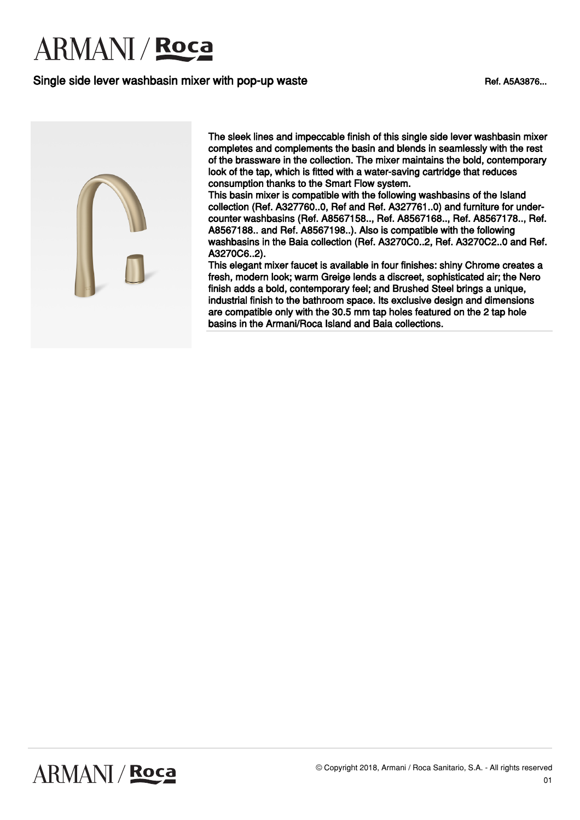### Single side lever washbasin mixer with pop-up waste Ref. A5A3876...



The sleek lines and impeccable finish of this single side lever washbasin mixer completes and complements the basin and blends in seamlessly with the rest of the brassware in the collection. The mixer maintains the bold, contemporary look of the tap, which is fitted with a water-saving cartridge that reduces consumption thanks to the Smart Flow system.

This basin mixer is compatible with the following washbasins of the Island collection (Ref. A327760..0, Ref and Ref. A327761..0) and furniture for undercounter washbasins (Ref. A8567158.., Ref. A8567168.., Ref. A8567178.., Ref. A8567188.. and Ref. A8567198..). Also is compatible with the following washbasins in the Baia collection (Ref. A3270C0..2, Ref. A3270C2..0 and Ref. A3270C6..2).

This elegant mixer faucet is available in four finishes: shiny Chrome creates a fresh, modern look; warm Greige lends a discreet, sophisticated air; the Nero finish adds a bold, contemporary feel; and Brushed Steel brings a unique, industrial finish to the bathroom space. Its exclusive design and dimensions are compatible only with the 30.5 mm tap holes featured on the 2 tap hole basins in the Armani/Roca Island and Baia collections.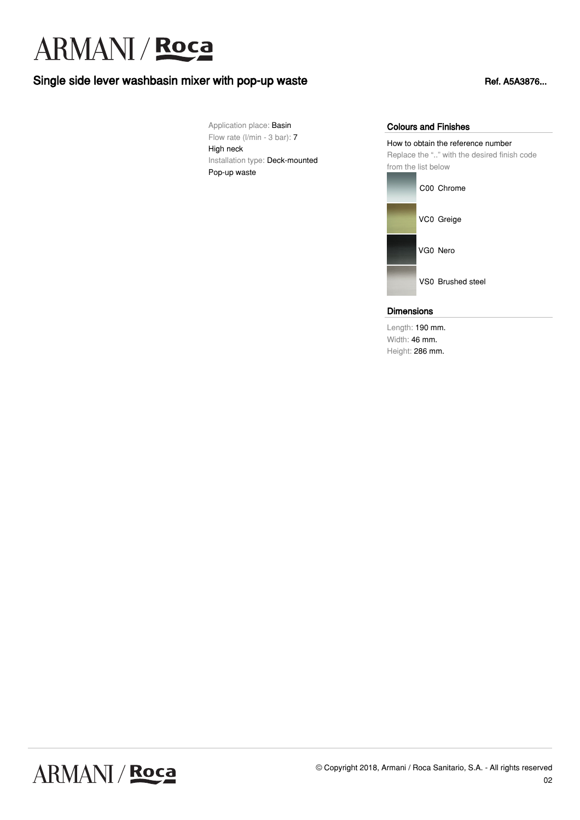### Single side lever washbasin mixer with pop-up waste Ref. A5A3876...

Application place: Basin Flow rate (l/min - 3 bar): 7 High neck Installation type: Deck-mounted Pop-up waste

#### Colours and Finishes

How to obtain the reference number Replace the ".." with the desired finish code from the list below



#### Dimensions

Length: 190 mm. Width: 46 mm. Height: 286 mm.

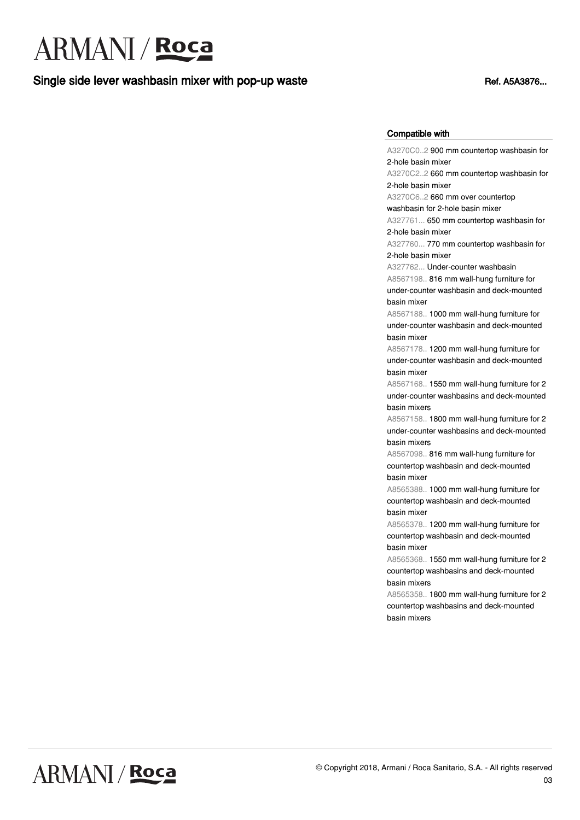### Single side lever washbasin mixer with pop-up waste Ref. A5A3876...

#### Compatible with

A3270C0..2 900 mm countertop washbasin for 2-hole basin mixer

A3270C2..2 660 mm countertop washbasin for 2-hole basin mixer

A3270C6..2 660 mm over countertop

washbasin for 2-hole basin mixer

A327761... 650 mm countertop washbasin for 2-hole basin mixer

A327760... 770 mm countertop washbasin for 2-hole basin mixer

A327762... Under-counter washbasin

A8567198.. 816 mm wall-hung furniture for under-counter washbasin and deck-mounted basin mixer

A8567188.. 1000 mm wall-hung furniture for under-counter washbasin and deck-mounted basin mixer

A8567178.. 1200 mm wall-hung furniture for under-counter washbasin and deck-mounted basin mixer

A8567168.. 1550 mm wall-hung furniture for 2 under-counter washbasins and deck-mounted basin mixers

A8567158.. 1800 mm wall-hung furniture for 2 under-counter washbasins and deck-mounted basin mixers

A8567098.. 816 mm wall-hung furniture for countertop washbasin and deck-mounted basin mixer

A8565388.. 1000 mm wall-hung furniture for countertop washbasin and deck-mounted basin mixer

A8565378.. 1200 mm wall-hung furniture for countertop washbasin and deck-mounted basin mixer

A8565368.. 1550 mm wall-hung furniture for 2 countertop washbasins and deck-mounted basin mixers

A8565358.. 1800 mm wall-hung furniture for 2 countertop washbasins and deck-mounted basin mixers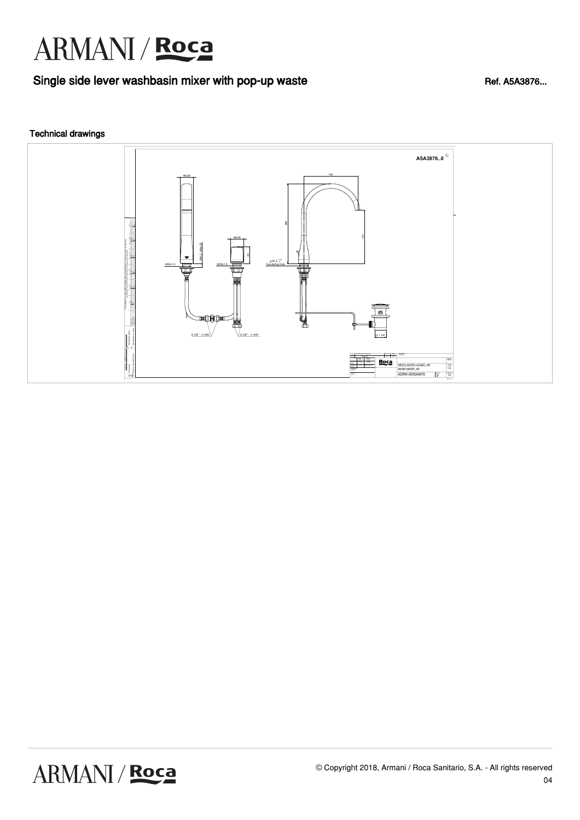### Single side lever washbasin mixer with pop-up waste Ref. A5A3876...

#### Technical drawings